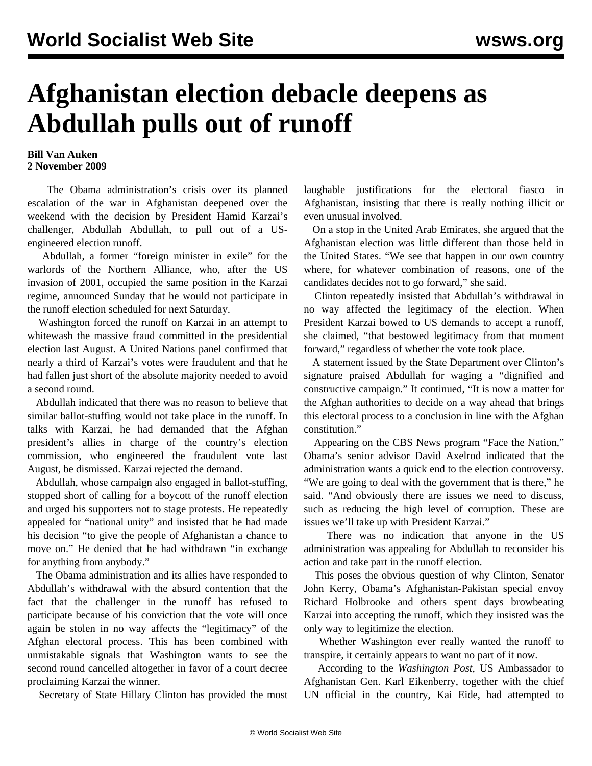## **Afghanistan election debacle deepens as Abdullah pulls out of runoff**

## **Bill Van Auken 2 November 2009**

 The Obama administration's crisis over its planned escalation of the war in Afghanistan deepened over the weekend with the decision by President Hamid Karzai's challenger, Abdullah Abdullah, to pull out of a USengineered election runoff.

 Abdullah, a former "foreign minister in exile" for the warlords of the Northern Alliance, who, after the US invasion of 2001, occupied the same position in the Karzai regime, announced Sunday that he would not participate in the runoff election scheduled for next Saturday.

 Washington forced the runoff on Karzai in an attempt to whitewash the massive fraud committed in the presidential election last August. A United Nations panel confirmed that nearly a third of Karzai's votes were fraudulent and that he had fallen just short of the absolute majority needed to avoid a second round.

 Abdullah indicated that there was no reason to believe that similar ballot-stuffing would not take place in the runoff. In talks with Karzai, he had demanded that the Afghan president's allies in charge of the country's election commission, who engineered the fraudulent vote last August, be dismissed. Karzai rejected the demand.

 Abdullah, whose campaign also engaged in ballot-stuffing, stopped short of calling for a boycott of the runoff election and urged his supporters not to stage protests. He repeatedly appealed for "national unity" and insisted that he had made his decision "to give the people of Afghanistan a chance to move on." He denied that he had withdrawn "in exchange for anything from anybody."

 The Obama administration and its allies have responded to Abdullah's withdrawal with the absurd contention that the fact that the challenger in the runoff has refused to participate because of his conviction that the vote will once again be stolen in no way affects the "legitimacy" of the Afghan electoral process. This has been combined with unmistakable signals that Washington wants to see the second round cancelled altogether in favor of a court decree proclaiming Karzai the winner.

Secretary of State Hillary Clinton has provided the most

laughable justifications for the electoral fiasco in Afghanistan, insisting that there is really nothing illicit or even unusual involved.

 On a stop in the United Arab Emirates, she argued that the Afghanistan election was little different than those held in the United States. "We see that happen in our own country where, for whatever combination of reasons, one of the candidates decides not to go forward," she said.

 Clinton repeatedly insisted that Abdullah's withdrawal in no way affected the legitimacy of the election. When President Karzai bowed to US demands to accept a runoff, she claimed, "that bestowed legitimacy from that moment forward," regardless of whether the vote took place.

 A statement issued by the State Department over Clinton's signature praised Abdullah for waging a "dignified and constructive campaign." It continued, "It is now a matter for the Afghan authorities to decide on a way ahead that brings this electoral process to a conclusion in line with the Afghan constitution."

 Appearing on the CBS News program "Face the Nation," Obama's senior advisor David Axelrod indicated that the administration wants a quick end to the election controversy. "We are going to deal with the government that is there," he said. "And obviously there are issues we need to discuss, such as reducing the high level of corruption. These are issues we'll take up with President Karzai."

 There was no indication that anyone in the US administration was appealing for Abdullah to reconsider his action and take part in the runoff election.

 This poses the obvious question of why Clinton, Senator John Kerry, Obama's Afghanistan-Pakistan special envoy Richard Holbrooke and others spent days browbeating Karzai into accepting the runoff, which they insisted was the only way to legitimize the election.

 Whether Washington ever really wanted the runoff to transpire, it certainly appears to want no part of it now.

 According to the *Washington Post*, US Ambassador to Afghanistan Gen. Karl Eikenberry, together with the chief UN official in the country, Kai Eide, had attempted to